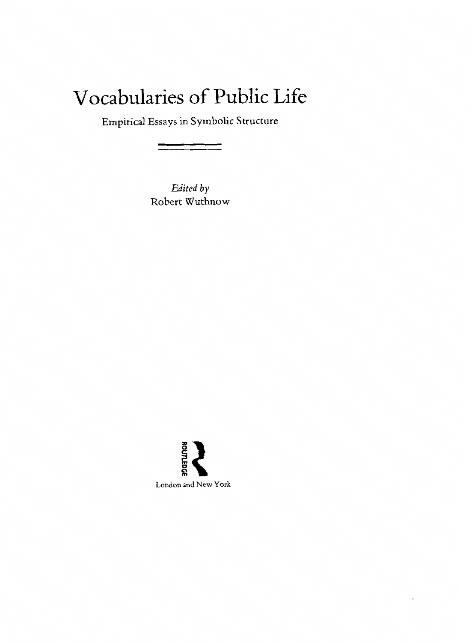# Vocabularies of Public Life

**Empirical** Essays in Symbolic **Structure** 

*Edited by*  Robert Wuthnow

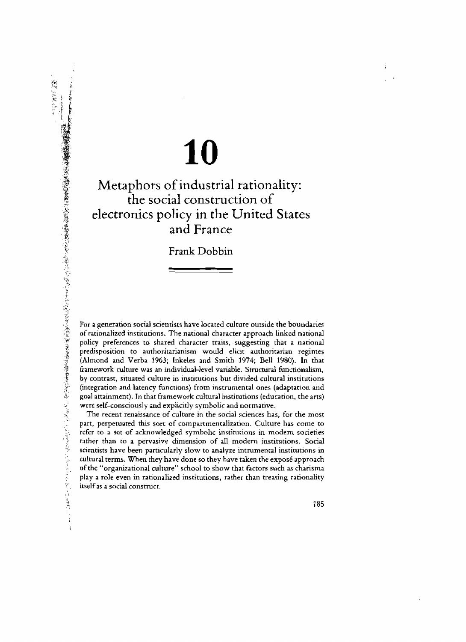# 10

# Metaphors of industrial rationality: the social construction of electronics policy in the United **States**  and France

**Frank** Dobbin

**For** a generation social scientists have located culture **ourside** the boundaries of rationalized institutions. The national **character a~proach linked national policy preferences to** shared character traits, suggesting that a national predisposition to authoritarianism would elicit authoritarian regmes (Almond and Verba 1963; Inkeles and Smith 1974; Bell 1980). **In that Gamework ruln~re was** an in&vidual-level variable. Structural functionahsm, by contrast, situated culture in institutions but divided cultural institutions (integration **and** latency **functions)** from instruniental ones (adaptarion **and**  goal attainment). **Tn** that framework cultural institutions (education, the arts) were self-consciously and explicitly symbolic **and normative.** 

**The** recent renaissance of culture in the social sciences has, for the most part, perpetuated this sort of compartmentalization. Culture has come to refer to a set of acknowledged symbolic institutions in modem societies **rather than to a** pervasive dimension of all modem institutions. Social sdcntists **have** been particularly slow to **analyze** intrumental institutions in cultural terms. **When** they **have done** so **they** have taken the expose approach of the "organizational culture" school to show that factors such as charisma **play** a role even in rationalized institutions, rather than treating rationality itself as a social construct.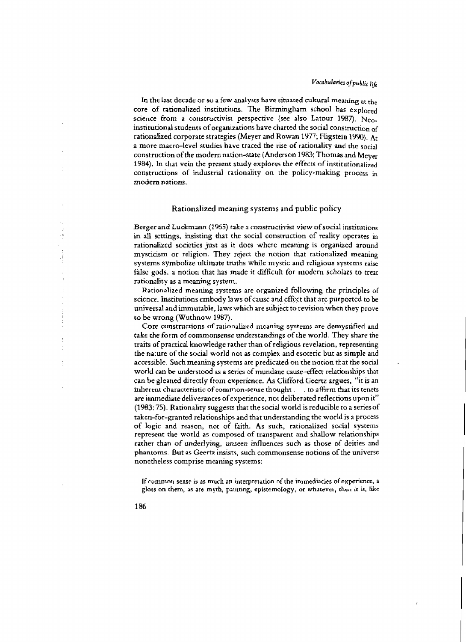**In the last decade or so a few analysts have situated cuItural meaning at core** of rationalized institutions. The Birmingham school has **explored**  science **horn a constructivist perspective (see also Latour 1907).** Nee-. institutional students of organizations have charted the social construction of rationalized corporate strategies (Meyer and Rowan 1977; Fligstein 1990). At a more macro-level studies have traced the rise **of** rationality ad the **social**  construction of the modern nation-state (Anderson 1983; Thomas and Mever 1984). In that vein the present study explores the effects of institutionalized constructions of industrial rationality on the policy-making process in modern **nations.** 

# **Rationalized meaning systems** and **public policy**

**Bcrgcrand Luckmlnn (1965)** *take a ronstmctivist* view **ofsodal institutions**  in all settings, insisting that the social construction of reality operates **in**  rationalized societies just as it does where **meaning** is organized around mysticism or religion. They reject the nation that **rationalized** meaning systems symbolize ultimate truths while mystic and religious systems raise false gods, a notion that has made it difficult for modern scholars to treat rationality as a meaning system.

Rationalized meaning systems are organized following the principles of science. Institutions **embody** laws **ofcause andeffect** that **are purported** to be universal and immutable, laws which are subject to revision when they prove **to be wrong** (Wuthnow 1987).

**Core** construcrions **uf r~tiunalized mcaning systems are demystified and take** the **form of** *commonsense* **understandings of the world. They share** tine **traits of practical knowledge** rather than of **religious** revelation, representing the nature of the **social** world not as complex **and esoteric but as** simple and **accessible.** Such **meaning systems are predicated** on the notion that the social world can be understood as a series of mundane cause-effect relationships that **can** be gleaned &rectIy €tom **experience.** As **Clifford Geertz argues, "it is an**  inherent characteristic of common-sense thought . . . to affirm that its tenets are **immedate** deliverances ofexperience, **not** deliberated **reflections upon** it" (1983: 75). Rationality suggests that the social world is reducible to a **seriesof**  taken-for-granted relationships and that understanding the world is a process of logic and reason, not of faith. As such, rationalized social systems represent the world as composed of transparent and shallow relationships rather than of underlying, **unseen** influences such as those **of deities and phantoms. But as Geertx** insists, such commonsense **notions** of the **universe**  nonetheless comprise meaning systems:

**If** common **sense is as much an interpretation of the immediades of experience, a gloss on them, as are myth, palntmg, epistemology, or whatever, rlkcr~ it is, like**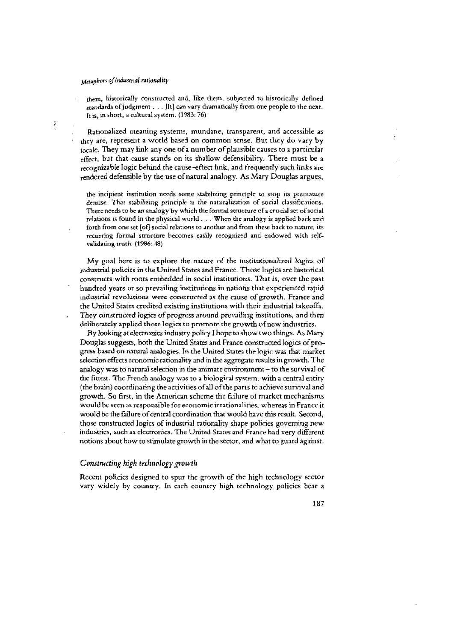### **~tta~kors of industrial** *rationality*

**them, historically constructed and, like them, subjected to historically defined ofjudgmmt** . . . **/It]** can **vary dramatically** from **one people to the next.**  it **is, in** 5hort. **a cultural system. (1983:** 76)

Rationalized meaning systems, mundane, transparent, and accessible as they are, represent a world based on common sense. But they do vary by **jocale. They may hk any one ofa** number **ofplausible causes to a particular**  effect, **but that cause stands on its shallow defensibility. There must** be **a recognizable** logic behind the cause-effect link, and frequently such links are rendered **defensible by the use of natural analogy. As Mary Douglas argues,** 

the incipient institution needs some stabilizing principle to stop its premature **denrise. That** *stabilizing principle* **1s the natumJizatjon of social classifications. There needs to be an analogy by which the formal structure of a crucial set of social relations 1s found in the physlcal wurld** . . . **Whcn thc analogy is applied hack and**  , **forth from one set [ofl social relations to another and from these back to nature, its**  recurring formal structure becomes easily recognized and endowed with self**valldiltirlg truth. (1386: 48)** 

**My goal herc is to explore the nature** of the **tnstitutionalized** *logics* **of industrial policies in theunited Statrs and** France. **Those logics are historical constructs with toots embedded in social instrtutions. That is, over** *the past*  **hundred years or so prevailing institutions in nations that experienced rapid industrial** revolutions **were constrrlrted** *a<* **the** *cause* **of** *growth.* **France and**  the United States credited existing institutions with their industrial takeoffs. They **constructed** *logics* **of progress** *around* **prevailil-lg institutions, and** thm deliberately **applicd those logics to** promote **thr growth** of **new industries.** 

**By looking at electronics industry policy <b>J** hope to show two things. As Mary **Douglas ssuggats,** both **the** United **States and France constructed logics ofpro***grtss* **basrd or1 natural analogiff. In the United States thr** *logir* **wa.5 that markrt selection effects** emnomc **rationality and** m **the aggregate results in growth. The analogy was to natural selection m the anmate environment** - **to the survival of tl~e fittat,** Thc **Frcnch analogy was to a biological systrm, with a** central entity (the brain) coordinating the activities of all of the parts to achieve survival and **growth. So first, in the American scheme the failure of market mechanisms would be scnl as rcsponsiblc for economic irrationalities, whereas in France it would be** the failure **of central coord'inatian that would have ths result. Second,**  those **constructed logics** of **industrial rationality shape policies governing new industries, such as clcctmnics. The United States and France had very** different **notions about how to stimulate growth in the** sector, **and what to guard against.** 

# *Constructing high technology growth*

**Recent policies designed** to **spur the** growth **of the high technology sector vary widely by country. In** cach **country** *h~gh* **technology policies bear a**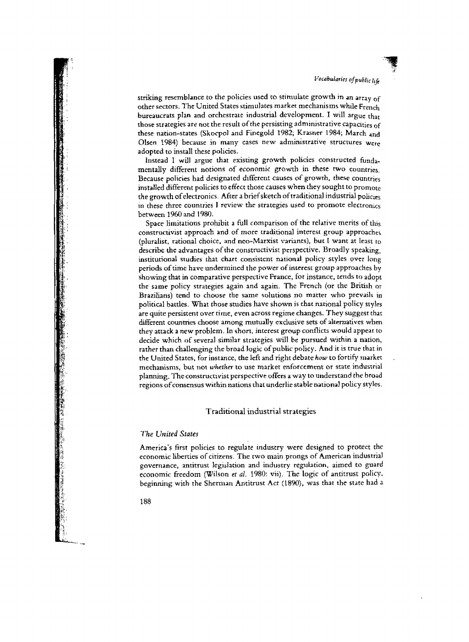Vocabularies of public life

striking **resemblance** to the policies used to stimulate growth in **an array of**  other sectors. The United States stimulates **market** mechanisms whde French bureaucrats plan and orchestrate industrial development. I will **argue** that those strategies **are** not the result of **the** persisting administrative **capacities of**  these nation-states **(Skocpol** and **Finegold 1982; Krasner 1984; March and**  Olsen 1984) because in many cases new administrative structures were adopted to install these policies.

Instead I **will** argue **that** existing growth policies constructed fundamentally different notions of economic growth in these two countries. Because policies had designated **different causes** of growth, these countries **jnstaHed** different policies to effect those causes when they sought to promote the growth ofelectronics. After a brief sketch of traditional industrial policies in these three countries I review the strategies used to promote electronics between **1%0** and **1980.** 

Space limitations prohbit a full comparison of the relative merits of this constructivist approach and of more traditional interest group approaches (pluralist, rational choice. and neo-Marxist variants), but 1 want at least **to**  describe the advantages of **the** constructivist perspective. Broadly speaking, institutional studies that **chart** consistent **national** policy styles over long periods of time **have** undermined the power of **interest** group approaches by showing that in comparative perspcctivc **France, for instance, tettds to adopt the same policy** strategies again and again. The French (or the British or Brazilians) tend to choose the **same** solutions no matter who prevails in **political** battles. What chose studies **have shown is** that national policy **styles are** quite persistent **over** time, **even** across **regime** changes. They suggest that different **countries** choose among **mutuaMy** exclusive **sets** of alternatives when they attack a new problem. In short. interest group conflicts **would** appear to decide which of several similar strategies will **be** pursued within a nation, rather than challenging the broad logic of public policy. **And** it is true that in the United States, for instance, the left **and** right debate *how* to fortify **lnarker**  mtchanisms, but **not** whether to **use** market enforcement or state **industrial**  planning The construct~vist perspective **offers** a **way** to understand the broad regions ofconsensus within nations that underlie stable national **policy** styles.

# **Traditional** industrial **strategies**

## *The* **United** *Slates*

America's first policies to regulate industry were designed to protect the economic liberties of citizens. The **rwo** main prongs of American **industrial govertlance,** antitrust legisiation and industry regulation, aimed to guard economic freedom **(Wilson et** al. 1980: **vii).** The logic of antitrust policy. beginning with the Shernian Antitrust Act **(1890), was** that the **state** had a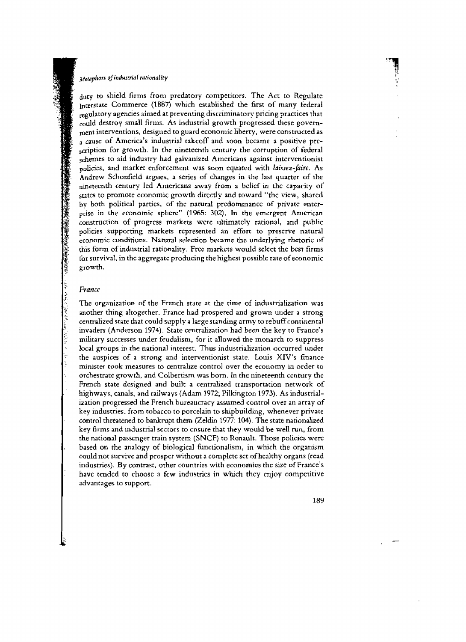C,

**duty** to sheld firms from predatory competitors. The Act to Regulate 1, **hterstate** Commerce **(1887) which established** the first **of many federal**  r: ,**agencies** aimed at preventing discriminatory **pricing** practices **that**  could destroy small firms. As industrial growth progressed these **govern-** ' ment interventions, designed to guard **economic liberty. were** constructed as : **a cause of America's industrial rakeoff and soon** became **a positive** prescription for growth. In the nineteenth century the corruption of federal **schemes** to aid industry had galvanized Americans against interventionist **and** marker enforcement **was soon equated** with *taiwer-faire.* **As**  Andrew **Schonfield argues,** a series of changes in the last quarter of the nineteenth cerltury led **Americans** away from a belief in the capacity of states to promote economic growth directly and toward "the view, shared by both political parties, of the **natural predominance of privase** enter**prise** in the **rconomic** sphere" (1965: 302). In the emergent American construction of progress markets were ultimately rational, and public **polities** supporting markets **represented** an effort **to preserve** natural **economic** conditions. Natural selection became the **undcrlying** rhctoric of chis **form** of industrial rationality. Free markets would select the best firms for survival. in the aggregate producing the highest **possible rate of** economic growth.

#### France

The organization of the French **state at** the time **of** industrialization was another thing altogether. France had prospered and grown under a strong centralized state that could supply a largestanding army to rebuff continental invaders (Anderson **1974). State** centralization **had** been the key to France's military successes under feudalism, for it allowed the monarch to suppress local groups in the national interest. Thus industrialization occurred under the auspices of a **strong** and interventionist state. Louis **XIV's** finance minister **took** measures to centralize **control** over the economy in order to orchestrate growth, and Colbertism was born. In the nineteenth century the French state designed and built a centralized transportation **network** of highways, canals, and railways (Adam 1972; Pilkington 1973). As industrialization progressed **the** French bureaucracy assumed control **over** an array of **key** industries. from tobacco to porcelain to **shipbuilding,** whenever private control threatened to bankrupt them (Zeldin 1977: 104). The state nationalized key firms and irldustrial sectors to ensure **that they would be well** run, from the national passenger train **system** (SNCF) to Rcnault. Those policies were based on the analogy of biological functionalism, in which the organism could not survive and prosper without a complete ser of healthy organs **(read**  industries). By contrast, other countries with economies the size of France's **have** tended **to** choose a few industries in whch they enjoy competitive advantages to support.

調節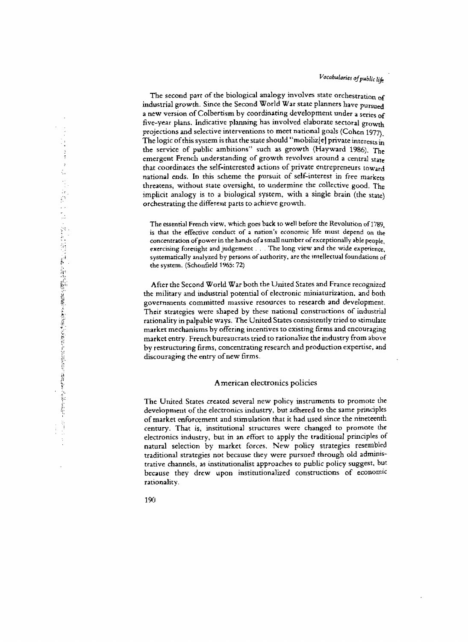The second part of the biological **analogy** involves state orchestration **of**  industrial **growth. Since the** Second World War state planners hare **pursued**  a new version of Colbertism by coordinating development under a series of **five-year plans.** Indicative **planning** has involved elaborate **sectoral growth**  projections and selective interventions to meet national goals (Cohen **1977).**  The logic of this system is that the state should "mobiliz[e] private interests in the service of public ambitions" such as growth (Hayward 1986). The **emergent** French understanding of growth revolves around a central **state**  that coordinates the self-interested actions of private entrepreneurs toward **national** ends. In this scheme the pursuit of self-interest in free **markets**  threatens, without state oversight, to undermine the collective good. The implicit analogy is to a biological system, with a single brain (the **state)**  orchestrating the different **parts** to achieve growth.

The essential French view, which goes back to **well before** the Revolution **of** 1789, is that the effective **conduct** of a nation's **economic** life must depend **on the**  concentration **ofpower** in the **hands ofa** small number of exceptionally able **people,**  exercising foresight and judgement . . . The long view and the wide experience, systematically analyzed by persons of authority, are the intellectual foundations of the **system. (Schonfield** 1965: **72)** 

After the **Second World** War both the United States **and** France recognized the military **and** industrial potential of electronic miniaturization. **and** both governments committed massive **resources** to **research and development.**  Their strategies were shaped by these national constructions of industrial rationality in palpable **ways.** The United States consistently tried to **stimulate market mechanisms by** offering incentives to existing firms and encouraging market entry. French bureaucrats tried to rationalize the industry from above by restructuring firms, concentrating research and production expertise, and discouraging **the** entry of **new firms.** 

# American **electrorlics** policies

**The** United **States created** several new policy instruments to promote the development of the electronics industry, but **adhered** to **the same** principles of market enforcement and stimulation that **it had** used **since** the nineteenth century. That is, institutional structures were changed to promote the electronics industry, but in **an effort** to **apply the** traditional of natural selection by market **farces.** New policy strategies resembled traditional strategies not because they were pursued **through** old administrative channels, as institutionalist approaches to public policy suggest, **bur**  because they **drew** upon institutionalized constructions of economic rationality.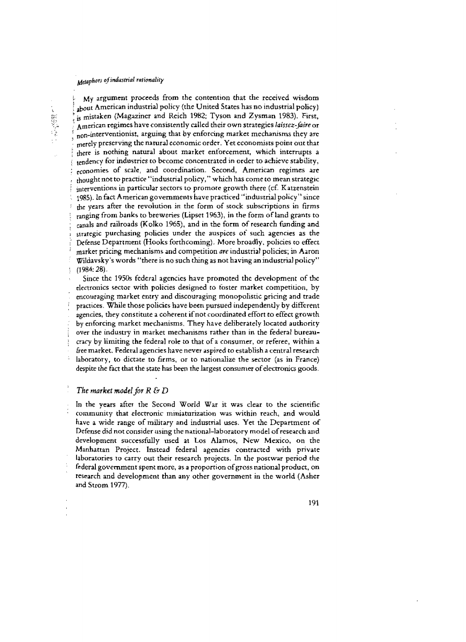!. argument proceeds from the contention that the received **wisdom**  *<sup>I</sup>*American **industrial** policy (the **United** States has **no** industrial policy) **is mistaken (Magaziner and Reich 1982; Tyson** and **Zysman** 1983). First, '-, **bmerican regimes** have **consistently called** their own strategies **laisscz-\$ire** or non-interventionist, arguing that by enforcing market mechanisms they are *merely preserving the natural economic order*. Yet economists point out that ; **there** is **nothng** natural **about** market enforcement, which interrupts a <sup>i</sup>**tendency lor** industries to become concentrated in **order** to **achieve** stability, : of scale, and coordination. Second, **American** regimes **are**  : thought **not** to practice "industrial policy," whch has come to **mean** strategic interventions in particular sectors to promote growth there (cf. Katzenstein : **1985)** In fact American **governments** have **practiced** "industrial policy" since : fie years after the revolution in **the form of stock** subscriptions in firms ) ranging **from** banks to **breweties (Lipset** 1963), in **the** form of land **grants** to **canals** and railroads **(Kolko** 19651, and **in the form of research fundmg** and strategic purchasing policies under the auspices of such agencies as the Defense Department **(Hooks** forthcoming). More broadly, policies to effect ' **market** pricing mechanisms and competition are industrial policies; in Aaron **Wildavsky's words "thereis** no such thng as **not** having **anindustrial policy"**  \* **(1 984:** 28).

Since the 1950s federal agencies have promoted the **development** of **the electronics** sector with policies designed to foster market competition, by encouraging market entry **and** discouraging monopolistic pricing **and** trade **pracrices.** While those **policies have been** pursued independently by different agencies, they **constitute** a **coherent if** not coordinated effort to **effect growth by enforcing market mechanisms. They have** deliberately located authority j over the industry in market mechanisms **rather** than in **the** federal bureau**cracy by** limiting the federal role to **that** of **a consumer,** or referee, within a free market. Federal agencies have never aspired to establish a central **research** - laboratory, to dictate to firms. or to nationalize the **sector** (as in France) despite the fact **that the** state **has** bem the largest **consunler** of electmnics **goods.** 

# *The market model for R & D*

In the years **after** the Second WorId War it **was** clear to the scientific community that eiectronic **miniaturization was** within **reach, and would have a wide range of military and industrial** uses. **Yet** the Department of Defense did **not consider using the** national-laboratory model of research and development successfully used at **Los Alamos,** New Mexico, on the **Manhattan** Project. **Instead** federal agencies contracted **with** private **laboratories to** carry **out** their research projects. In the **postwar** period **the federal** government spent more, as a **proportion of gross** national product, on research **and developnient** than **any** other government in the world (Asher and Strom 1977).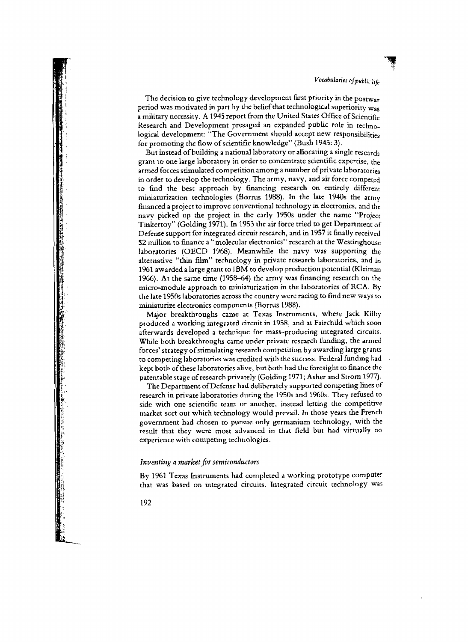**vocabularies** *~J'puhlli* 

Ŗ

The **decision** to give technology development first priority in the postwar **period** was motivated in part by the belief that technological **superiority**  a military necessity. **A** 1945 report from the United States **Office** of **Scientific**  Research and Development presaged **an** expanded public role in technological development: "The Government should accept new responsibilities for promoting the **flow** of **scientific knowledge"** (Bush **1945:** 3).

But instead of building a national laboratory or allocating a single research **grant** to one large laboratory in order to concentrate scientific expertise, **the**  armed forces stimulated competition among a number of private laboratories **in** order to develop the technology. The army, **navy,** and air force competed to **find** the best approach **by** financing research **on** entirely different miniaturization technologies **(Borms** 1988). In the late 1940s the army **financed** a **project** to improve conventional technology in electtonics, and the **navy** picked up the project in the **carly** 1950s under the name "Project Tinkertoy" (Golding 1971). In 1953 the air force tried to get **Department** of Defense support for integrated circuit research, and in 1957 it finally **received**  \$2 million **to** finance a "molecular electronics" research at the Westinghouse laboratories (OECD 1968). Meanwhile the navy was supporting the alternative "thin film" technology in private research laboratories, and in 1961 awarded a large grant to IBM to develop production potential (Kleiman 1966). At the same time (1958–64) the army was financing research on the micro-module approach to miniaturization in the laboratories of RCA. By the late **1950s** laboratories across the country were racing **to** find new ways **to**  miniaturize electronics components (Borrus 1988).

Major breakthroughs came at **Texas** Instruments, where Jack Kiiby produced a **working** integrated circuit in 1958, and at Fairchild which **soon**  afterwards developed a technique for mass-producing integrated circuits. While both breakthroughs came under private research **funding, the** armed forces' strategy ofsrimulating research competition **by** awarding large grants to competing laboratories was credited with the success. Federal funding had . kept both of these laboratories alive, **but** both had the foresight to finance the patentable stage of research privately (Golding 1971; Asher and Strom 1977).

The Department of Defense had deliberately supported competing lines of research in private laboratories during the 1950s and **1960s.** They refused **to side** with one scientific team or another, instead lerting the competitive market sort out which technology **would** prevail. In those years the French government had chosen to pursue **only** germanium technology, with the result that they **were** most advanced in that field but had virtualIy no experience with competing technologies.

# **Inventing a market for semiconductors**

**By** 1961 Texas Instruments had completed a working prototype computer that was **based** on integrated circuits. Integrated circuit technology **was**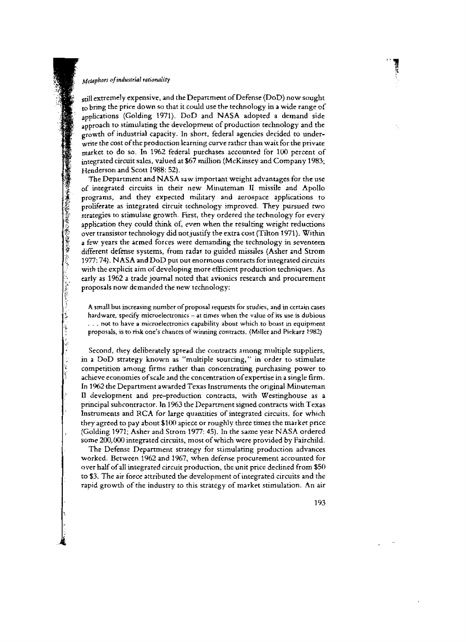$\frac{1}{2}$  still extremely expensive, and the Department of Defense (DoD) now sought to bring the price down so that it could use the technology in a wide range of applications (Golding 1971). DoD and NASA adopted a demand side <sub>approach to stimulating the development of production technology and the</sub> pwth of industrial capacity. **In** short, federal agencies decided to under**write** the cost of the production **learning curve** rather than wait for the private market to do so. In 1962 federal purchases accounted for 1W percent of integrated circuit sales, **valued** at \$67 ridlion **(McKinsey** and **Company 1983;**  Henderson and Scott 1988: 52).

**The Department and** NASA saw important weight advantages for the use of integrated circuits in their new Minuteman **II** missile and Apollo programs, **and** they expected military and aerospace appiications to proliferate as integrated circuit technology improved. They pursued **two**  strategies to stimulate growth. First, they ordered the technology for every application **they** could **think** of, even **when** the resulting weight reductions over transistor technology didnotjustify the extra cost (Tilton **2971).** Within **<sup>a</sup>**few years the **armed** forces were **demandmg** the technology in **seventeen**  diflerent defense systems, from radar to guided missiles **(Asher** and Strom 1977: 74). NASA and DoD put **out** enormous contracts for integrated circuirs **with** the explicit aim of developing more efficient production techniques. **As**  early as 1962 a trade **journai** noted that **avionics** research and procurement proposals now demanded the new technology:

**A small bui** increasing number of proposal requests for studies, and in certain cases hardware, specify **microeIectronics** - **at times when the value of its use is dubious**  . . . *not* **to have a microelectronics capability about which to boast m equipment**  proposals, **is to risk one's chances of winning cotltracts. (Miller and Pickarz 1482)** 

Second, they deliberately spread the contracts among multiple suppliers, in a **DoD stratcgy** known as "multiple **sourcing,"** in order to stimuIate competition among firms rather than concentrating purchasing power to achieve economies of **scale** and the concentration ofexpertise in a **single** firm. In 1962 the Department awarded Texas Instruments the original Minuteman Il development and pre-production contracts, with Westinghouse as a principal subcontractor. In 1963 the Department **signcd** contracts with **Texas**  Instruments and RCA for large quantities of integrated circuits, for which they agreed to pay about \$100 apiece or roughly three times the market price [Golding **1971; Asher and** Strom 1977: **45).** In the **same** year NASA ordered some 200,000 integrated circuits, most of which were provided by Fairchild.

The Defense Department strategy for stimulating production advances worked. Between 1962 and 1967, when defense procurement accounted for over half **of** all integrared circuit production, the unit price declined from \$50 to \$3. The air force attributed thr development of integrated circuits and the rapid growth of the industry to this strategy of market stimulation. An air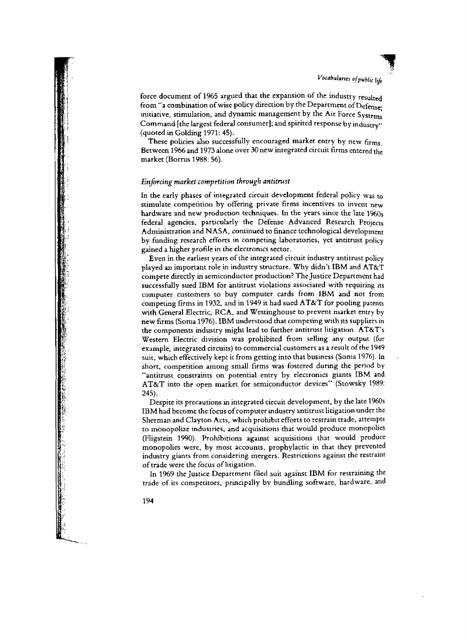Vocabularies of public life

**force** document of **2965** argued that the expansion of the industry resulted from "a combination of wise policy direction by the Department of Defense: **initiative,** stimulation, and dynamic management by the Air Force **Systems Command** [the largest federal consumer]; and spirited response **by industry"**  (quoted in Golding 1971: 45).

These policies also successfully encouraged market entry by new firms Between 1966 and 1973 alone over 30 new integrated circuit **firms** entered the market (Borrus 1988: 56).

# **Enforcing market comprtirion through antitrust**

In the early phases of integrated circuit development federal policy **was to**  stimulate competition by offering **private** firms incentives to invent **new**  hardware and new production techniques. In the years since the late 1960s federal agencies, particularly the Defense Advanced Research Projects Administration and NASA, continued to finance technological development by funding research **efforrs** in campeting laboratories, yet antitrust **policy**  gained a higher profile in the electronics sector.

Even in the earliest years of the integrated circuit industry antitrust policy played an important role in industry structure. Why didn't IBM and **AT&T**  compete directly in semiconductor production? The Justice Department had successfully sued IBM for antitrust violations associated with requiring its computer customers to buy **computer** cards from **IBM and** not from competing firms in 1932, and in 1949 it had sued **AT&T** for pooling patents with General Electric, RCA, and Westinghouse to prevent **market** entry by new fi **rms** (Soma 1976). IBM understood that **competing** with its suppliers in the components industry might lead to further antitrust litigation. **AT&T's**  Western Electric division **was** prohibited from **selhg any** output **(for**  example, integrated circuits) to commercial customers as a result **of the** 1949 suit. which effectively kept it from getting into that business (Soma 1976). In . short, competition among small firms **was** fostered durmg the **penod** by "antitrust constraints on potential entry by electronics giants IBM and **AT&T** into the open market for semiconductor devices" (Stowsky **1989: 245).** 

Despite its precautions **in** integrated circuit development, by the late **1960s**  IBM had become the **focus** of **computer** industry antitrust litigation under the Sherman and Clayton Acts, which **protubit** efforts to restrain trade, attempts to monopolize industries, and acquisitions that would produce monopolies (Fligstein 1990). Prohibitions against acquisitions that would produce monopolies were, by most accounts, prophylactic in that they prevented industry giants from considering mergers. Restrictions against the restraint of trade were the **focus** of lirigatian.

**In** 1969 the Justice Department tiled suit against **IBM** for restraining the trade of its competitors, principally by bundling software, hardware, and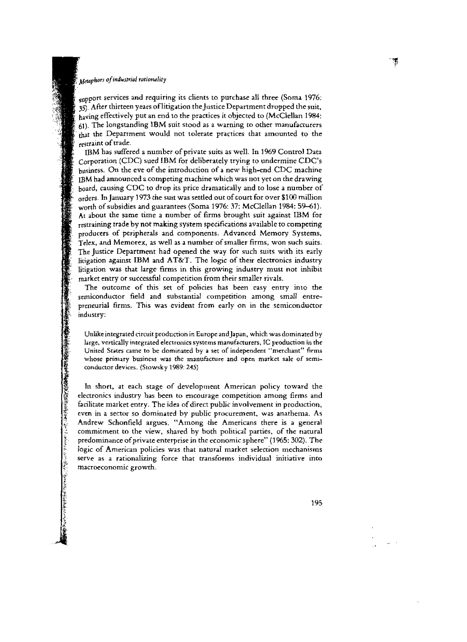# *,~~~~~hors* **of induswiai** *rationality*

**,,pport** services and requiring its clients to purchase all three **(Soma** 1976: **35).** After thirteen **years** oflitigation the Justice Department dropped the suit, **having** effectively put an end to the practices it objected to **(McClellan** 1984: **61).** The longstanding **IBM** suit stood as a warning to other manufacturers that the Department would not tolerate practices that amounted to the restraint of trade.

IBM has suffered a number of private suits as well. In 1969 Control Data *C*<sub>O</sub>rporation (CDC) sued IBM for deliberately trying to undermine CDC's husiness. On the eve of the introduction of a new high-end CDC machine LBM had announced a competing machine which was not yet on the drawing C to drop **its** price dramatically **and** to lose **a** number of 973 the suit **was settled** out of court for over \$100 **miuian**  worth of subsidies and guarantees (Soma 1976: 37; McClellan 1984: 59-61). **At** about the same time a **number** of firms brought suit against IBM for **restraining trade by not mahg** system **specif cations** available to **competing**  . **producers** of peripherals and components. **Advanced** Memory Systems, Telex, and Memorex, **as well as a number** of **snialler** firms, won such suits. The Justice Department had opened the way for such suits with its early **and AT&T.** The **logic** of **their** electronics industry litigation was that large firms in this growing industry must not inhibit **market entry or** successful competirion from their smaller rivals.

The outcome of this set of policies has been easy entry into the semiconductor field and substantial competition among small entrepreneurial firms. This was evident from early on in the semiconductor industry:

Unlike integrated clrcuit production in Europe and Japan, which **was** dominated by . large, vertically integrated electronics systems **manufacturers, IC** production **in** the 1. United States **came to be dominated by** a set of independent "merchant" **firms**  whose **primary business was** the **manuhcture** and open market sale of **semi**conductor devices. **(Stowsky** 1989: 245)

In short, at each stage of development **American** policy toward the electronics industry has been to encourage competition **among** firms **and**  facilitate market **entry.** The idea **ofdirect** public involvement in production, **even** in **a** *sector* **so dominated** by public procurement, was anathema. As Andrew **Schontield** argues, "Among the Americans there is a general commitment to the view, shared by both political **parties.** of the natural predominance of private enterprise in the economic sphere" **(1** 965: 302). **The logic** of American policies **was** that naturaI market selection mechanisms serve as a rationalizing force that transforms individual initiative **inca**  macroeconomic growth.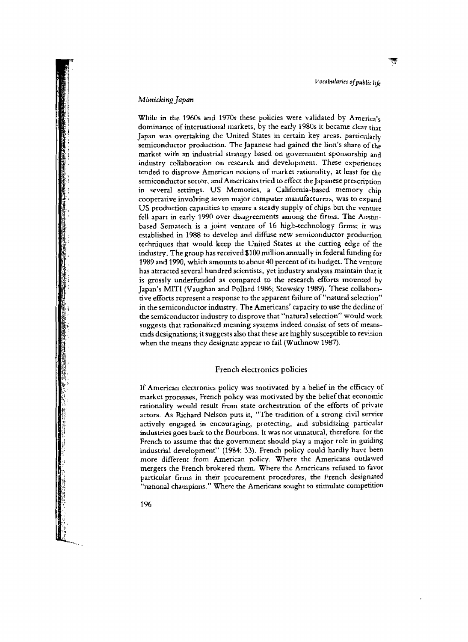# Mimicking Japan

**While in** the 1960s and 1970s these policies were validated by America's dominance of international markets, by the early **1980s** it became clear that Japan **was** overtaking the United States **in** certain key areas. particularly semiconductor **production.** The Japanese **had gained the lion's** share of the market with **an** industrial strategy based on government sponsorship **and**  industry collaboration on research and development. These experiences tended to disprove American notions of market rationality, at least for the semiconductor sector, and Americans tried to effect the Japanese prescription in several settings. US Memories, a California-based memory **chip**  cooperative involving seven major computer manufacturers, was to **expand**  US production **capacities to** ensure a steady supply of **chps** but the **venture**  fell apart in early 1990 over disagreements among the firms. The Austin**based Sematech is a joint vcnture** of **26** hgh-technology firms; it **was**  established in 1488 to develop **and** diffuse **new** semiconductor production techniques that would keep the United States at the cutting edge of **the industry.** The group has received \$1 **00** million annually **in** federal funding for 1989 and 1990, which amounts to about 40 percent of its budget. The venture has attracted several hundred scientists, yet industry analysts maintain that it is **grossly underfunded** as compared to the research efforts mounted by Iapan's MITI *(Vaughan and Pollard 1986; Stowsky 1989)*. These collabora**tive efforts represent a** response **to the** apparent failure of **"narural** selection" in the semiconductor industry. The Americans' capacity to use the decline of **the** semiconductor industry to **hsprove** that "natural selection" would work **suggests that rationalized meaning systems** indeed consist of sets of **means**ends designations; it suggests also that **these are** highly **susceptible to revision when** the means they designate appear to fail (Wuthnow 1987).

# **French** electronics **policies**

If Anlerican electrolllcs policy was motivated by a belief in the **etEcacy** of market processes, French policy was motivated by the belief that economic rationality would result from state orchestration of the efforts of private actors. **As** Richard **Nelson** puts it, "The tradition of a **strong civil service**  actively **engaged** in encouraging, protecting, **and subsidizing** particular industries goes back to the Bourbons. It was not unnatural, therefore, for the French to assume that the government should play a major **role** in guiding industrial development" (1984: 33). French policy could hardly have been more different from American policy. Where the **Americans** outlawed mergers **the** French brokered them. Where the Americans refused to favor particular **firms** in their procurement procedures, the French designated "national champions." Where the Americans sought to stimulate competition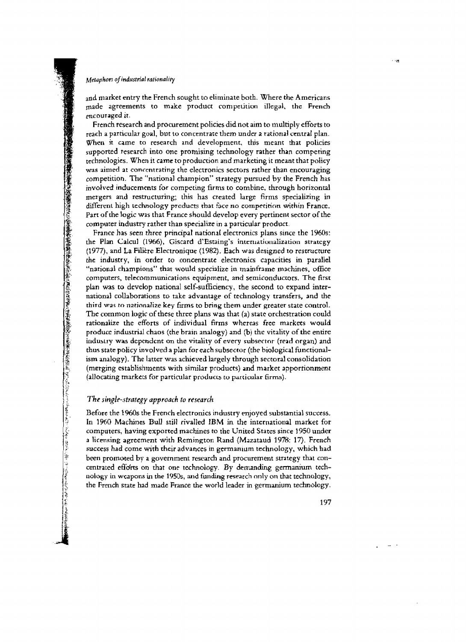: **and market entry the** French sought **to eliminate both. Where the Americans**  made agreements to make product competition illegal, the French ! **encouraged it.** 

, **French research and procurement policies** did **not aim to multiply efforts to**  ! **reach a particular goal, but to concentrate them under a rational central plan. When it came to research and development, this** meant **that policies research into one promising** technology **rather than competing**  technologies. When it **came** *to* **production and marketing it meant that poIicy**  was aimed at concentrating the electronics sectors rather than encouraging **competition. The "national champion" strategy pursued** by the **French has involvd inducements for competing firms to** combine, **through horizontal mergers and restructuring; this has created large firms specializing in different high** technology **products that** tjce **no cornperirion within France.**  Part of the logic was that France should develop every pertinent sector of the **computer industry rather than specialize In a particular product** 

France has seen three principal national electronics plans since the 1960s: the Plan Calcul (1966), Giscard d'Estaing's internationalization strategy (1977), **and La Filiire Electronique (1982). Each was designed** *to* **restructure the industry, in order to concentrate electronics capacities in parallel "national champions" that would specialize in mainframe machines, ofice**  computers, telecommunications equipment, and semiconductors. The first **plan was to** develop **national self-sufficiency,** the second **to expand international collaboratjons to take advantage of technology transfers, and** the third was to nationalize key firms to bring them under greater state control. **The common logic of these three plans was that (a) state orchestration could rationalize the efforts** of **individual firms whereas free markets would produce industrial chaos** (the **braln analogy) and** (b) **the vitality of the entire iridusiry was dcpcndcnt on the vitality of every subsrctnr (read organ) and thus state** policy **involved a plan for each subsector** (the **biological funcrionalism analogy). The latter was achieved largely through sectoral consolidation**  (merging **establishments with similar products) and market apporrionment**  (allocating markets for particular products to particular firms).

# *The single-strategy approach to research*

**Before the 1960s** the **French electronics industry** enjoyed **substantial success.**  In 1960 Machines Bull still rivalled IBM in the international market for computers, having exported machines to the United States since 1950 under **a limnsing agreement with Remington Rand (Mazataud 1978: 17). French success had** come with their **advances in germatiium technology, which had**  been **promoted by a government research and procurement strategy that** con**centrated effdrts on that** one technology. **By** demanding **germanium techrlolugy in wcapons in thc 1Y%, and** fundmg **research** only **on that technology, the French state had made France the world** leader **in germanium** technology.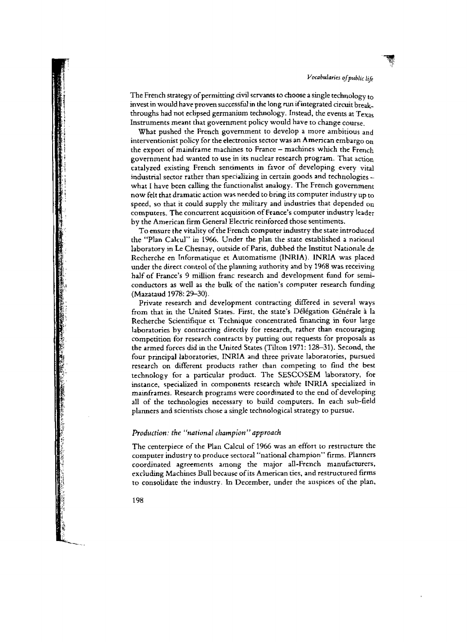*Vocabularies of public life* 

The French strategy of permitting civil servants to choose a single technology to invest in **would have** proven successfd **in** the long **run if** integrated **citcuit** breakthroughs had not eclipsed germanium technology. Instead, the events **at Texas**  Instruments meant that government policy would have to change course.

What pushed the French government to develop a more ambitious and interventionist policy **far** the electronics sector **was** an American embargo on the export of mainframe **machines** to France - machnes which the **French**  government had wanted to use in its nuclear research program. That action catalyzed existing French sentiments in favor of devejoping every **vital industrial** sector rather than specializing in certain **goods** and technologies what I have been calling the functionalist analogy. The French government **now** felt that dramatic action was needed to bring its computer industry **up** to speed, *so* that it could supply the military and industries that depended **on**  computers. The concurrent acquisition of **France's computer** industry **leader**  by the **American** firm General Electric reintorced those sentiments.

To ensure the vitality of the French computer **industry** the state **introduced**  the "Plan Calcul" in 1966. Under the plan the state established a national laboratory in Le Chesnay, outside of Paris, dubbed the Institut Nationale de Recherche en tnformatique et Automatisme **(INRIA). lNR1A** was **placed**  under the direct control of the planning authority **and** by 1968 was receiving half of France's 9 million **franc** research and development fund for semi**conductors** as well as the **bulk** of the nation's computer research funding **(Mazataud 1978: 29-30).** 

Private research **and** development contracting differed in several ways from that in the United States. First, the state's Délégation Générale à la Recherche Sdentifique **et** Technique concentrated financing in four large laboratories by contracting directly for research, rather than encouraging competition for research contracts by putting out requests for proposals as the armed forces did in the United States (Tilton 1971: 128–31). Second, the four principal laboratories, **INRIA** and three private laboratories, pursued research on different products rather than competing to **firid** the **best technology for a particular** product. The SESCOSEM laborator)., **for**  instance, specialized in components research while **INRIA** specialized in mainframes. Research programs **were** coordinated to the end of developing **a11** of the technologies necessary to build computers. In each sub-field planners and scientists chose a single technological strategy to pursue.

# *Production: the "national champion" approach*

The centerpiece of the Plan Calcul of 1966 **was** an effort to restructure the computer industry to produce **sectoral** "national champion" **firms.** Planners coordinated agreements among the major all-French manufacturers, **excludmg** Machines Bull because of its **American** ties, and restructured **firms**  to consolidate the industry. **In** December, under the auspices of the plan,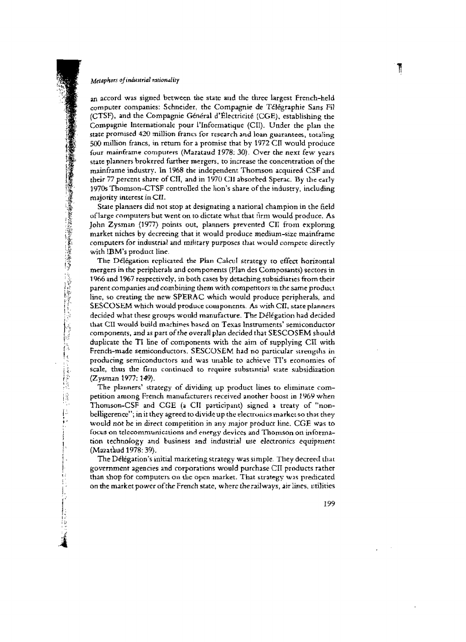accord **was signed between the state and the three largest French-held computer companies: Schneider, the** Compagnie *de* **Tcil+raphie Sans** Fil (CTSF), and the Compagnie Général d'Électricité (CGE), establishing the **Compagnie lnternauonale pour** l'lnformarique **(CII).** Under **the plan the state promised 420** million **franus for rcsrarrh and loan guarantees, totaling**  500 million **francs, in return for a promise that by 1972** CII **would produce**  four mainframe computers (Mazataud 1978: 30). Over the next few years **state planners brokered further mergers. to increase the concentration of the mainframe industry. In 1968 the independent Thomson acquired CSF and their 77** percent **share of CII, and in 1970 C11 absorbed Sperac. By** ~hr carly **<sup>3</sup>**970s Thornson-CTSF **controlled** the **lion's share of the industry, including**  majority interest in CII.

**State planners did not stop at designating a national champion in the 6eld oflarge computers but went on to dictate what that** firm **wouId produce. As John Zysman (1977) points out, planners prevented** CIT **from** exploring **market niches** by **decreeing that it would produce medium-size mainframe computers for industrial and military purposes** *that* **would** cornpcrc **directly with IBM's product line.** 

**The Dil&garion rcpliated the Plan Calclil strategy to** effect **horizontal mergers in the peripherals and components (Plan des Camposants) sectors in 1966 and 1%7 respectively, in both cases by detaching subsidiaries from their parent companies and** *combining* **them with cornpentors In thesarne product line, so creating the new SPERAC whch would produce periphrrals, and SESCOSEM which wouldptoduce cotnponcnts. As with** CII, **stace planners decided what these groups would manufacture. The** Deligation **had** decided **that** CII **would build machines hascd on Texas Instruments' semiconductor components, and as** *pan,* **of** *the* **overall plan** decided **that SESCOSEM should duplicate- the TI line of** components **with the aim of supplying** CII **with**  French-made semiconductors. SESCOSEM had no particular strengths in **producing semiconductors and was unable to achieve** TI'S economies **of**   $scale$ , thus the firm continued to require substantial state subsidization *(Z* **ysman 1977: 149).** 

The **planners' strategy of hviding up** product **lines to eliminate** com**petition** among French **manufacturers received another boost in** *1969* **when Thornson-CSF and CGE (a** CII **participant) signed a treaty** of "nonbelligerence"; **in it they agreed to divide up** the **dectrur~ics market so that** they **would** *not* **be in direct** competition in **any major product** line. CGE **was to hcus ail tclccommunicatians and energy devices** and **Thornson** on infotma**tion technology and business and industrial use electronics equipment (~azathud 1978: 39).** 

**The Deligation's lnitial marketing strategy was simple. They decreed that government agencies and corporations would purchase CII products rather**  than shop for computers on the open market. That strategy was predicated on **the market power** ofrhe French **state,** *where* **therailways, air** lines, **nriljtjes**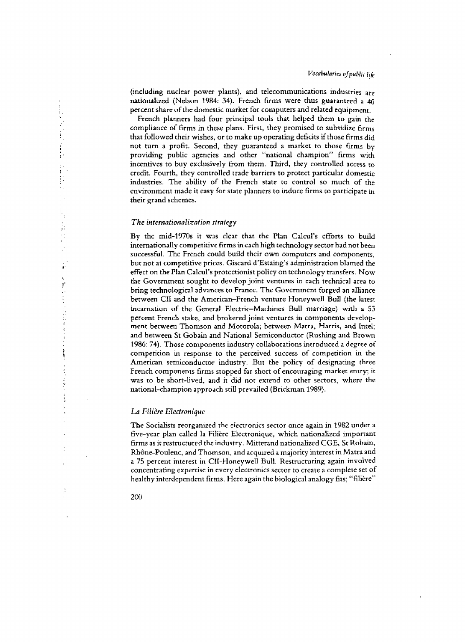(including nuclear power plants), **and** telecommunications industries are nationalized (Nelson 1984: **34).** French firms were thus **guaranteed** a JO percent share of the domestic market for computers and related **equipment.** 

French planners **had** four principal tools that helped them to **gain** the compliance of firms in these plans. **First,** they promised to substdize firms that **followed** their wishes, **or** to **make up** operating deficits if those firms did not turn a profit. **Second,** they guaranteed a market to those **firms** by providing public agencies and other "national champion" firms with incentives to buy exclusively **from them. Third,** they controlled access to credit. Fourth, they **controlled** trade barriers to protect particular domestic industries. The ability of **the** French state to control **SO** much of **the environment made** it **easy** for **state** planners to **induce** firms **to** participate **in their grand** schemes.

# *The* **internationalization** *strategy*

**By** the **mid-1970s it was clear that the Ptan Calcul's efforts to build**  internationally competitive **firms** in each **high** technology sector had not been successful. The French could build their **own** computers and components, but not at competitive prices. Giscard d'Estaing's administration blamed the effect on the Plan Calcul's protectionist policy on technology transfers. Now the Government sought to develop joint ventures in **each technical** area **to bring** technological advances to France. The Government forged an alliance between **CII** and the American-French venture Honeywell Bull (he latest incarnation of the General Electric-Machines **Bull** marriage) with a 53 percent French **stake, and** brokered joint **ventures** in **components develop**ment **between** Thomson and Motorola; between Matra, Harris, **and Intel;**  and between St Gobain and National Semiconductor **(Rushmg and Brown 1986:** 74). Those components industry collaborations introduced a degree of competitian in response to the **perceived** success of competition **in** the American semiconductor industry. But the policy of designating three French components firms stopped far short of encouraging market **entry;** it was to be short-lived, and **it did not extend** to other sectors, where the national-champion approach **still prevailed (Brlckman 1989).** 

# La Filière Electronique

The Socialists reorganized **the erecttonics sector** once again in 1982 under a five-year plan called la Filiere **Electronique,** which nationalized important firms as it restructured the industry. Mittcrand nationalized CGE, St **Robain,**  Rhdne-Poulenc, and **Thomson,** and **acquired a majority** interest in Matra and a 75 percent **interest it1 CIt-Honeywell Bull.** Restructuring again involved concentrating expertise in every electronics sector to create a complete set of healthy interdependent firms. Here again the biological **analogy** fits; "filiere"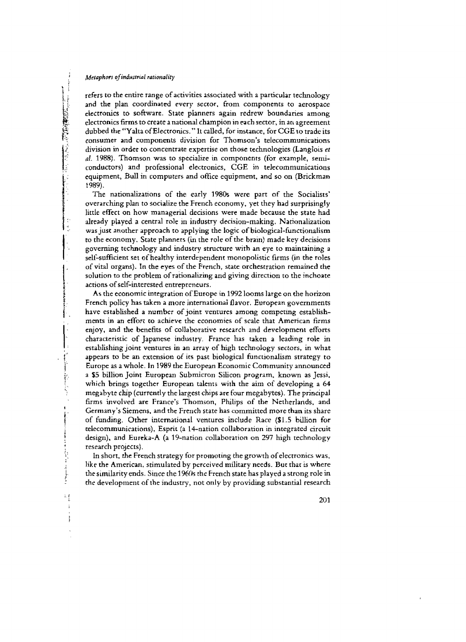### **~ttaphors of** *indusmal* **rationality**

refers to the entire range of activities **tssociated** with a partjcular technology and the plan coordinated every sector, from components to aerospace **electrotlics** to software. State planners again redrew **baundaries among**  electronics firms to create a national champion in each **sector,** in **ark** agreement dubbed the "Yalta **ofElectronics."** It called, for **instance,** for CGE to trade its consumer and components division for Thornson's telecommunications division in order to concentrate expertise on those technologies **(Langlois** et al. 1988). Thomson was to specialize in components (for example, semiconductors) and professional electronics, CGE in telecommunications equipment, Bull in **computers** and **o&ce** equipment, and so on **(Brickman**  1989).

The nationalizations of the early **1980s** were part of the Socialists' overarching plan to socialize the French economy, yet they had surprisingly little effect on how managerial decisions **were** made because the **state had**  already played a central role in industry decision-making. Nationalization **was just** another approach to applying the **Iopc** of biological-functionalism to the economy. State **planners** (in the role of the brain) made key decisions governing technology and industry structure with **an** eye to maintaining a self-sufficient set **of** healthy interdependent **monapolistic** firms (in the roles of vital **organs).** In the eyes of the Frmch, state orchestration **remained the**  solution to the problem of rationalizing and giving direction to the inchoate **actiom** of self-interested entrepreneurs.

**As** the economic integration **ofEurope** in 1992 looms large **on** the horizon **French** policy has taken a more international flavor. European governments **have** established a number of joint ventures among competing esrablishments in an effort to **acheve** the economies of scale that **Amerjcan** firms enjoy, and **the** benefits of collaborative research and development efforts characteristic of Japanese industry. France has taken a leading role in establishing joint ventures in an array of hgh technology sectors, in **what**  appears to be an extension o€ its past biological **functjonaIism** strategy to Europe as a whole. In 1989 the European Economic Conimunity **announced**  a 95 billion Joint European Submicron Silicon **ptogrdm. known** as **Jess],**  which brings together European talents with the aim of developing a 64 megahy te **chp** (currently the largest chips are **four** megabytes). The **principal**  firms involved are France's **Thomson, Philips** of the Netherlands, and Germany's Siemens, and the French state has committed **more** than its share of funding. Other international ventures include Race (\$1.5 billion for telecommunications), Esprit (a 14-nation collaboration in integrated circuit design), and Eureka-A (a 19-nation collaboration on 297 high technology research projects).

In short, the French strategy for promoting the growth ofelectronics **was,**  like the American, stimulated by perceived military needs. But that **Is** where the similarity ends. Since the **19611s** thc French state has played a strong role in the development of the industry, not only by providing substantial research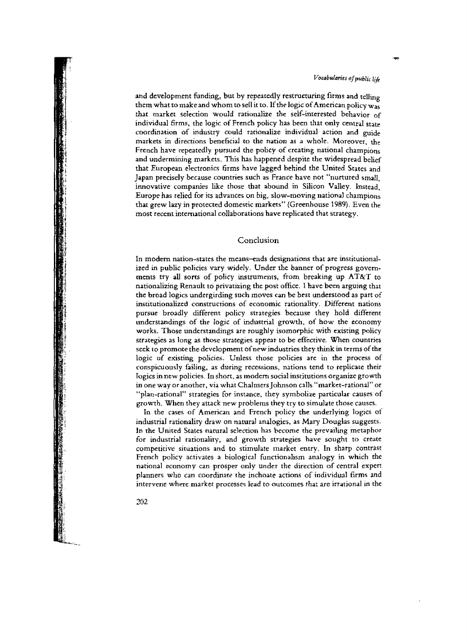and development **funding,** but by repeatedly **restrucuring firms and** telling them what to make **and** whom to sell it to. If the **logic of American policy was**  that market selection would rationalize the self-interested behavior of individual firms, the logic of French policy has been that **only centraI** state coordination of industry **could** rationalize **individual** action **and** guide markets **in directions** beneficial to the nation as a **whole. Moreover, the**  French have repeatedly pursued the policy of creating national champions **and undermining** markets. This **has** happened despite the widespread belief **that European** electronics firms **have** lagged behind the United States and Japan precisely because countries such as France **have** not "nurtured **small,**  innovative **companies** like those that abound in **Silicon** Valley. **Instead,**  Europe **has** relied for **its advances on** big, slow-moving national champions that **grew** lazy in protected domestic markets" (Greenhouse 1989). Even **the**  most recent international collaborations **have** replicated that strategy.

# Conclusion

In modern nation-states the means-ends designations that are institutionalized in public **policies vary widely. Under** the **banner** of progress **govern**ments try **all sons** of policy instruments, from **breaking** up **AT&T to nationalizing** Renault to privatiking the post **office. I have been** arguing that the **broad** logics **undergirding such** moves **can** be best understood as part of institutionalized **constructions** of economic **rationality. Different nations pursue broadly different policy strategies because** they hold different understandings of the logic of industrial growth, of how **the economy works. Those** understandings **are** roughly isomorphic with existing policy strategies as long as those strategies appear to be effective. When countries seek **to** promote the development **ofnew** industries they *thmk* in **terms of** the logic of existing policies. Unless those policies are in **the process** of **conspicuously failing, as during recessions, nations** tend **to** replicate **their Iogics in new** policies. In short. as modem **social** institutions organize growth in **one way or another, via** what Chalmers Johnson calls **"market-rational"** or "plan-rational" **strategies for instance, they symbolize particular** causes of **growth.** When they attack new problems they try to simulate those causes.

In the **cases** of American and French **policy** the underlying **logics** of industrial **rationality draw** on natural analogies, as Mary Douglas suggests. In the **United States** natural selection has **bccome the prevailing** metaphor **for** industrial rationality, **and growth** strategies **have sought** to create competitive situations and to stimulate market entry. In sharp contrast French policy activates a biological **functionalism analogy** in **which the national economy can prosper only** under the direction of central **experr**  planners who can coordinate the inchoate **actions** of indvidual **firms and intervene where market** processes lead to outcomes **that** are irrational in the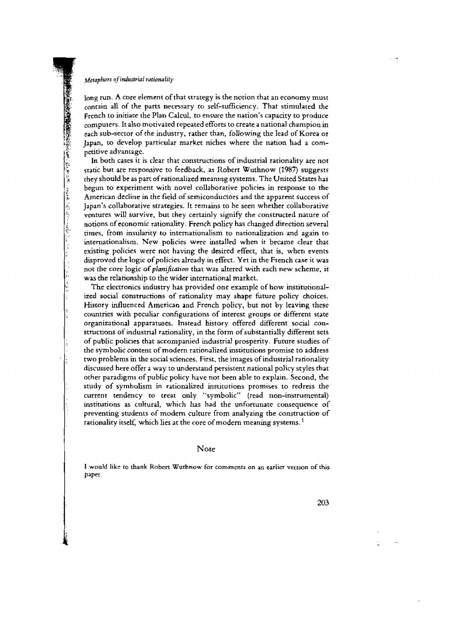. long **run.** A core element of that strategy is the **notion** that an econamy **must**  all of the parts necessary co self-sufficiency. That **stimulated the**  French to initiate the Plan Calcul, to ensure the nation's capacity to **produce**  computers. It also motivated repeated eETorts to create a national **chanipian** in each sub-sector of the industry, rather than, following the lead of Korea or Japan, to develop **particular** market **niches** where the nation had a **cornpetithe advancage.** 

In both **cases** it is **clear** that **constructions** of industrial rationality are **not**  static but are responsive to **feedback, as** Robert Wuthnow (1987) **suggests they** should be as part of rationalized meaning systems. The United States has begun to experiment **with** novel collaborative policies in response to **the American decline in** the field of semiconductors and the apparent success of **Japanis** collaborative strategies. It retnains to be seen **whether** collaborative ventures will survive, but they certainly signify the constructed nature of **notions** of economic rationality. French policy has changed direction several times, from jnsuIarity to internationalism **to** nationalization and **again** to internationalism. New policies **were** installed when it became dear thac existing **policies** were nor having the desired effect, that is, when events disproved the logic of policies already in effect. Yet in the French case it was not the core logic of *planification* that was altered with each new scheme, it **was** the relationship to the wider international market.

The electronics industry has provided **one** example of how institutionalized social constructions of rationality may shape **future** policy choices. History influenced American **aid** French policy, **but not by leaving these**  countries with peculiar **configurations** of interest groups or different state organizadonal apparatuses. Instead **history** offered different social **con**structions of industrial rationality, in the form of substantially different sets of public **policies** chat accompanied industrial prosperity. Future studies of the symbolic **content** of modern rationalized institutions promise to address two problems in the social sciences. First. the images of industrial rationality discussed here offer a way to understand persistent national policy styles that **ocher** paradigms of public policy have **not** been able to **explain.** Second, **thc**  study of symbolism in rationalized institutions promises to redress the current tendency to **creat only** "symbolic" (read non-instrumental) institutions as cultural, which has had the unfortunate consequence of preventing students of modem culture from analyzing the construction of rationality itself, which lies at the core of modern meaning systems.<sup>1</sup>

# **Note**

I would like to thank Robert Wuthnow for comments on an earlier version of this paper.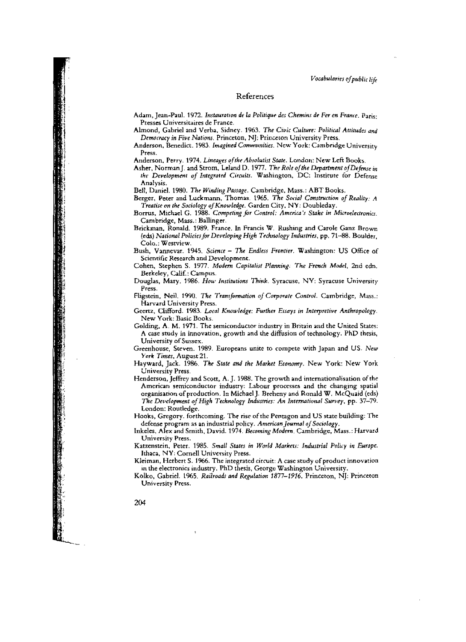# **References**

- Adam, Jean-Paul. 1972. Instauration de la Politique des Chemins de Fer en France. Paris: Presses Universitaires de France.
- Almond, Gabriel and Verba, Sidney. **1963.** The *Cioic CuItwre: PoIitiwl Attitudes and Democracy* **in** *Five Natinw.* Princeton, NJ; Princeton University Press.
- **Anderson,** Benedict. **1983.** *Imagined Commictrities.* **New York:** Cambndge University **Press.**
- Anderson, Perry. **1974.** *Lineages qfthc Absolutisf State.* **London:** *New* **Left Books.**
- **Asher, Norman J. and Strom.** Leland D. 1977. The Role of the Department of Defense in *thr Dewlopmmt of Integrord* **Circuih. Washington,** *DC:* **Institute {or Defense Analysis.**
- Bejl, Daniel. 1980. The Winding **Passage.** Cambridge, Mass.: ABT **Books.**
- Berger, Peter and Luckmann, **Thomas. 1%5.** *The Soria!* **Construction** *of Reality:* **.4**  Treatise on the Sociology of Knowledge. Garden City, NY: Doubleday.
- Borrus, Michael G. 1988. Competing for Control: America's Stake in Microelectronics. Cambridge, **Mass.:** Ballinger.
- **Brickman, Ronald.** 1989. France. In **Francis** W. **Rushing** and Car& **Ganz** Brown **!e&)** *Notiom1 Policirsjor* Developing **High** *Tccht~ology Indush'cs,* **pp.** *71-88.* **Boulder, Colo.:** Westview.
- Bush, Vannevar. **1945. Scienrc**  *The Endless Fronfrcr.* **Washington:** *US* **Oftice of**  Scientific Research **and** Development.
- **Cohen. Stephen S. 1977.** *hfudem Capitalist Plannitlg. The* **French** *Model,* **2nd edn. Berkeley,** Calif. : Campus.
- Douglas, Mary. 1986. *How Institutions Tkitilr.* **Syracuse,** *NY:* **Syracuse University Press.**
- $F_{\text{H}}$  **Fligstein, Neil. 1990.** *The Transformation of Corporate Control.* Cambridge, Mass.: **Harvard University Press.**
- Geertz, **CLifford. 1983.** *Local Knowledge: Further Esiays* **in** *intetpretivc Anihropology. New* **York: Basic Books.**
- **GoIding, A.** M. 1971. The semiconductor industry in **Bntain and** the United **States: A case study** in innovation. **growth** and the diffusion of technology. PhD **thesis, University of Sussex.**
- Greenhouse, Steven. 1989. Europeans unite **to** compete **with Japan and US.** *New*  **Ynrt** *Times,* **August 21.**
- **Hayward, Jack.** 1986. *The State* **and** *the Market Economy. New* **York:** *New* **York**  University **Press.**
- **Henderson,** Jeffrey **and** Scott. A. J. 1988. The **growth** and internationalisation **ofthe**  American semiconductor industry: Labour processes and the changing spatial organisation of production. In Michael J. Breheny and Ronald W. McQuaid (eds) **The Development of High Technology Industries: An International Survey, pp. 37–79. London: Routlcdge.**
- **Hooks,** Gregory. forthcoming. **The** rise of **the** Pentagon and US state building: The **defense** program **as an** industrial policy. **AmericanJnuml** *ojSociology.*
- Inkeles, *Alex and* Smith. David. 1974. *Rccoming* Modem. Cambridge, **Mass.: Harvard**  University Press.
- Katzenstein. Peter. 1985. Small **Stutes** *in* **World Markefi: Industrial** *PoIiiy* **in** Europe. Ithaca, NY: Cornell University Press.
- **Kleirnan,** Herbert **3.** 1966. The integrated circuit: **A** case study of product innovation in the **electronics industry. PhD thesis,** George **Washington** University.
- Kolko, Gabriel. **1965.** *Roilrotlds ~d Regulation* 1877-1916. Princeton, *NJ:* Princeton University Press.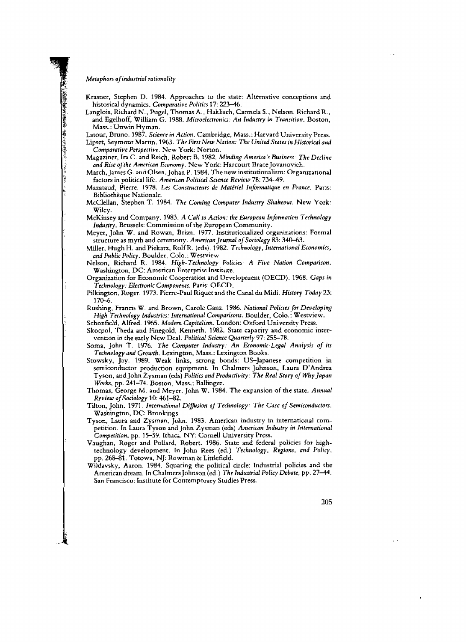- Krasner, Stephen D. 1984. Approaches **to** the **state: Alternative conceptions and**  historical dynamics. Comparative Politics 17: 223-46.
- Langlois, Richard N., Pugel, **Thomas A,,** Haklisch, **Carrnela** S.. **Nelson, Richard R.,**  and Egelhoff, William G. 1988. Microelectronics: An Industry in Transition. Boston, *Mass.:* **Unwin** Hynan.
- Latour, Bruno. 1987. *Science in Action*. Cambridge, Mass.: Harvard University Press.
- **Lipset, Seymour** Mart~n. **1** %3. *The* **Firxt** *New Nation: Thr* **United** *Statrx in Historical and Comparative Persperfivc.* **New York: Norton.**
- Magaziner, **Ira** *C.* and **Reich,** *Robert B. 1982. Minding Amcricd's* **Businesr.** *The Decline and Rise of the American Economy.* New **York:** Harcourt Brace Jovanovlch.
- March, James **G. and** Olsen. **Johan P.** 1984. The new institutionalism: Organizational factors in **political** life. **American** *Political* **Science** *Review 78:* **734-49.**
- Mazataud, Pierre. 1978. **Lej Constructcurs** *dc Matiriel Infomtique en* **France.** *Pans:*  Bibliothèque Nationale.
- McClellan, Stephen T. 1984. The *Coming Computer Industq Shakeour. New* **York.**  Wiley.
- McKinsey and Company. 1983. A *Call to Action: the* **European Infurmation** *Technalogy Industry.* Brussels: Commission of the European Community.
- Meyer, John W. and Rowan, Brian. 1977. Institutionalized **organizations: Formal**  structure as myth and ceremony. **Ameriron** *Jouwl ojSorrology 83:* **3-3.**
- Miller, Hugh H. and **Piekarz,** Rolf R. **(eds). 1982.** *T~ihnology, IntmtionaI* **Economics,**  *and Public Policy.* Boulder, Colo.: **Westview.**
- **Nelson,** *Richard R. 1984. High-Technology Policies: A Five Nation Comparison.*  Washington, DC: American Enterprise Institute.
- Organization for Economic Cooperation and Development (OECD). 1968. Gaps **in**   $Technology: Electronic Components.$  Paris: OECD.
- **Pilkington.** Roger. **1473.** Pierre-Paul **Riquer** and thc Canal du Midi. *History Tohy* 23: **170–6.**
- **Rushing. Francis W. and Brown, Carole Ganz. 1986. National Policies for Developing** *High* **Trrlmo[ogy Indush'es:** *Intrmational Comparifons. Boulder,* Colo.: *Westview.*
- **Schonfield,** Alfred. 1 **%5.** *Modm Capitalism.* London: Oxford University Press.
- **Skocpol,** Theda and Finegold, Kenneth. **1982.** State capacity and economic inter*vention in the early New Deal. Political Science Quarterly 97: 255–78.*
- Soma, John T. 1976. The Computer Industry: An Economic-Legal Analysis of its Technology **rltd Growth.** Lexington, Mass.: Lexington **Books.**
- **Stowsky,** Jay. 1989. Weak links, **strong** bonds: US-Japanese **wmpetition** in semiconductor production equipment. In Chalmers Johnson, Laura D'Andrea **Tyson,** and John Zysrnnn **(4s)** *Politics and Productivity: The Real* **Story oj** *Why Japan Works, pp.* **241-74.** *Boston,* Mass.: Balhger.
- **Thomas,** George **M,** and Meyer. John W. 1984. The **expansion of the state.** *Annual Review of Sociology 10:* **56142.**
- Tilton, John. 1971. **Inremutiorral** *Difisiotr* **oj** *Technology: The Cajc of' Semiconductors.*  Washington, *DC:* Brookings.
- Tyson, Laura and Zysman, John. 1983. American industry in international competition. In Laura **Tyson andJohn Zysman** *(eds) American* **Industry in** *Ink-tmationnl*  Competition, pp. 15-59. Ithaca, NY: Cornell University Press.
- **Vaughan,** Roger **and Pollard, Robert. 1986.** State and federal policies for hightechnology development. **Ln John Rees** *(ed.) Technology, Rtgions,* **and** *Policy.*  pp. 268-81. Totowa, NJ: Rowman & Littlefield.
- Wildavsky, Aaron. 1984. Squaring the political circle: Industrial policies and the **American** dream. In ChalmersJohnson (ed.) *The* Industrial *Policy Debate, pp.* **2744. San** Francisco: Institute **for** Contemporary Studies Press.